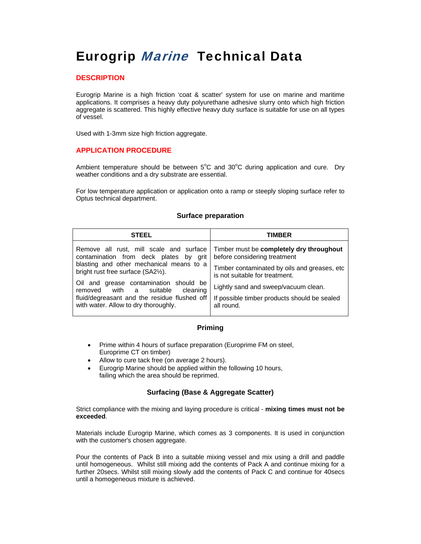# **Eurogrip Marine Technical Data**

## **DESCRIPTION**

Eurogrip Marine is a high friction 'coat & scatter' system for use on marine and maritime applications. It comprises a heavy duty polyurethane adhesive slurry onto which high friction aggregate is scattered. This highly effective heavy duty surface is suitable for use on all types of vessel.

Used with 1-3mm size high friction aggregate.

### **APPLICATION PROCEDURE**

Ambient temperature should be between  $5^{\circ}$ C and  $30^{\circ}$ C during application and cure. Dry weather conditions and a dry substrate are essential.

For low temperature application or application onto a ramp or steeply sloping surface refer to Optus technical department.

#### **Surface preparation**

| <b>STEEL</b>                                                                                                                                                      | TIMBER                                                                          |
|-------------------------------------------------------------------------------------------------------------------------------------------------------------------|---------------------------------------------------------------------------------|
| Remove all rust, mill scale and surface<br>contamination from deck plates by grit<br>blasting and other mechanical means to a<br>bright rust free surface (SA2½). | Timber must be completely dry throughout<br>before considering treatment        |
|                                                                                                                                                                   | Timber contaminated by oils and greases, etc.<br>is not suitable for treatment. |
| Oil and grease contamination should be<br>with a suitable<br>cleaning<br>removed                                                                                  | Lightly sand and sweep/vacuum clean.                                            |
| fluid/degreasant and the residue flushed off<br>with water. Allow to dry thoroughly.                                                                              | If possible timber products should be sealed<br>all round.                      |

### **Priming**

- Prime within 4 hours of surface preparation (Europrime FM on steel, Europrime CT on timber)
- Allow to cure tack free (on average 2 hours).
- Eurogrip Marine should be applied within the following 10 hours, failing which the area should be reprimed.

### **Surfacing (Base & Aggregate Scatter)**

Strict compliance with the mixing and laying procedure is critical - **mixing times must not be exceeded**.

Materials include Eurogrip Marine, which comes as 3 components. It is used in conjunction with the customer's chosen aggregate.

Pour the contents of Pack B into a suitable mixing vessel and mix using a drill and paddle until homogeneous. Whilst still mixing add the contents of Pack A and continue mixing for a further 20secs. Whilst still mixing slowly add the contents of Pack C and continue for 40secs until a homogeneous mixture is achieved.